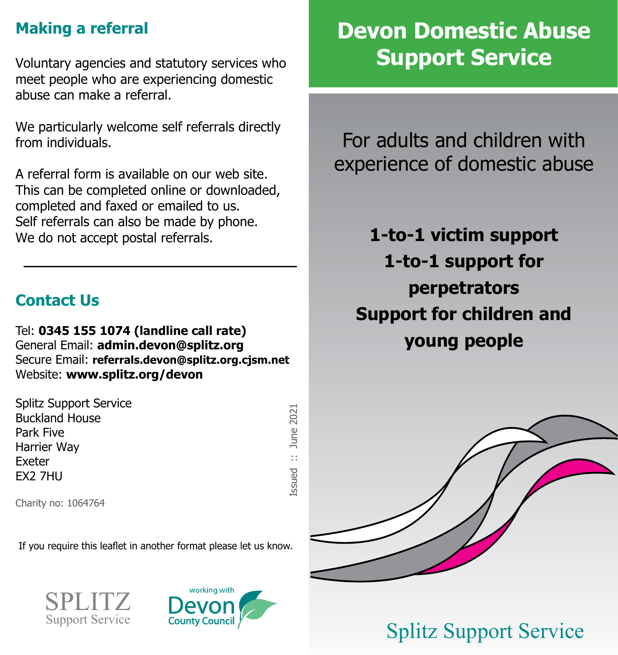## **Making a referral**

Voluntary agencies and statutory services who meet people who are experiencing domestic abuse can make a referral.

We particularly welcome self referrals directly from individuals.

A referral form is available on our web site. This can be completed online or downloaded, completed and faxed or emailed to us. Self referrals can also be made by phone. We do not accept postal referrals.

### **Contact Us**

Tel: **0345 155 1074 (landline call rate)** General Email: **admin.devon@splitz.org** Secure Email: **referrals.devon@splitz.org.cjsm.net** Website: **www.splitz.org/devon**

Splitz Support Service Buckland House Park Five Harrier Way Exeter EX2 7HU

Issued :: June 2021 June 2021 á **Lssued** 

Charity no: 1064764

If you require this leaflet in another format please let us know.





# **Devon Domestic Abuse Support Service**

For adults and children with experience of domestic abuse

**1-to-1 victim support 1-to-1 support for perpetrators Support for children and young people**



# Splitz Support Service